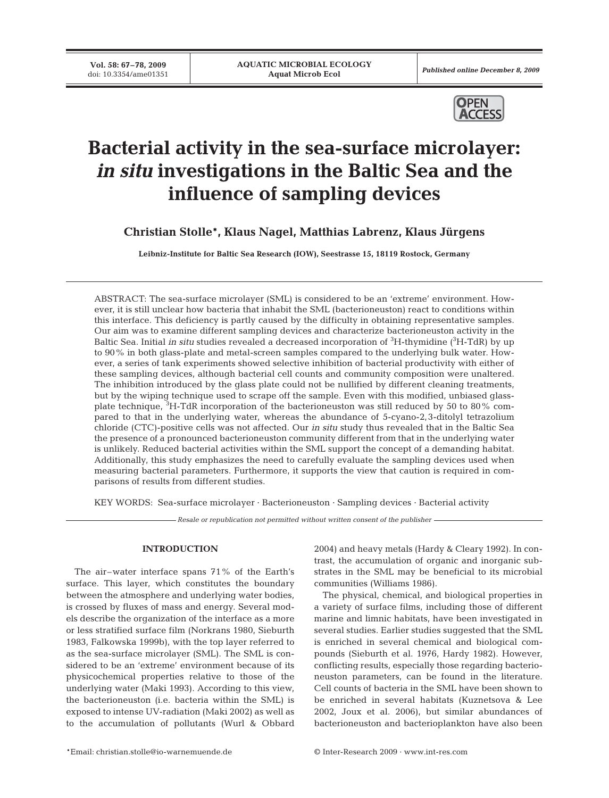**Vol. 58: 67–78, 2009**<br>doi: 10.3354/ame01351

Published online December 8, 2009



# **Bacterial activity in the sea-surface microlayer:**  *in situ* **investigations in the Baltic Sea and the influence of sampling devices**

**Christian Stolle\*, Klaus Nagel, Matthias Labrenz, Klaus Jürgens**

**Leibniz-Institute for Baltic Sea Research (IOW), Seestrasse 15, 18119 Rostock, Germany**

ABSTRACT: The sea-surface microlayer (SML) is considered to be an 'extreme' environment. However, it is still unclear how bacteria that inhabit the SML (bacterioneuston) react to conditions within this interface. This deficiency is partly caused by the difficulty in obtaining representative samples. Our aim was to examine different sampling devices and characterize bacterioneuston activity in the Baltic Sea. Initial *in situ* studies revealed a decreased incorporation of <sup>3</sup>H-thymidine (<sup>3</sup>H-TdR) by up to 90% in both glass-plate and metal-screen samples compared to the underlying bulk water. However, a series of tank experiments showed selective inhibition of bacterial productivity with either of these sampling devices, although bacterial cell counts and community composition were unaltered. The inhibition introduced by the glass plate could not be nullified by different cleaning treatments, but by the wiping technique used to scrape off the sample. Even with this modified, unbiased glassplate technique,  ${}^{3}{\rm H}$ -TdR incorporation of the bacterioneuston was still reduced by 50 to 80% compared to that in the underlying water, whereas the abundance of 5-cyano-2,3-ditolyl tetrazolium chloride (CTC)-positive cells was not affected. Our *in situ* study thus revealed that in the Baltic Sea the presence of a pronounced bacterioneuston community different from that in the underlying water is unlikely. Reduced bacterial activities within the SML support the concept of a demanding habitat. Additionally, this study emphasizes the need to carefully evaluate the sampling devices used when measuring bacterial parameters. Furthermore, it supports the view that caution is required in comparisons of results from different studies.

KEY WORDS: Sea-surface microlayer · Bacterioneuston · Sampling devices · Bacterial activity

*Resale or republication not permitted without written consent of the publisher*

# **INTRODUCTION**

The air–water interface spans 71% of the Earth's surface. This layer, which constitutes the boundary between the atmosphere and underlying water bodies, is crossed by fluxes of mass and energy. Several models describe the organization of the interface as a more or less stratified surface film (Norkrans 1980, Sieburth 1983, Falkowska 1999b), with the top layer referred to as the sea-surface microlayer (SML). The SML is considered to be an 'extreme' environment because of its physicochemical properties relative to those of the underlying water (Maki 1993). According to this view, the bacterioneuston (i.e. bacteria within the SML) is exposed to intense UV-radiation (Maki 2002) as well as to the accumulation of pollutants (Wurl & Obbard

2004) and heavy metals (Hardy & Cleary 1992). In contrast, the accumulation of organic and inorganic substrates in the SML may be beneficial to its microbial communities (Williams 1986).

The physical, chemical, and biological properties in a variety of surface films, including those of different marine and limnic habitats, have been investigated in several studies. Earlier studies suggested that the SML is enriched in several chemical and biological compounds (Sieburth et al. 1976, Hardy 1982). However, conflicting results, especially those regarding bacterioneuston parameters, can be found in the literature. Cell counts of bacteria in the SML have been shown to be enriched in several habitats (Kuznetsova & Lee 2002, Joux et al. 2006), but similar abundances of bacterioneuston and bacterioplankton have also been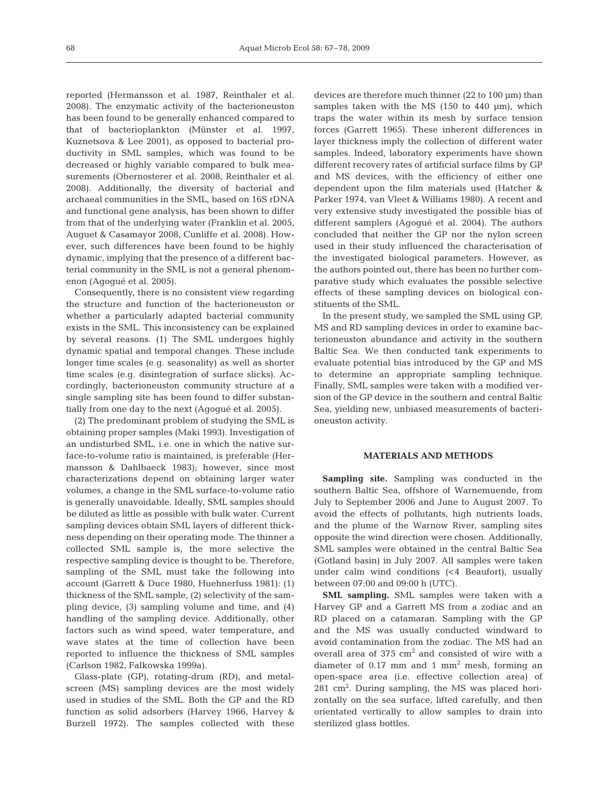reported (Hermansson et al. 1987, Reinthaler et al. 2008). The enzymatic activity of the bacterioneuston has been found to be generally enhanced compared to that of bacterioplankton (Münster et al. 1997, Kuznetsova & Lee 2001), as opposed to bacterial productivity in SML samples, which was found to be decreased or highly variable compared to bulk measurements (Obernosterer et al. 2008, Reinthaler et al. 2008). Additionally, the diversity of bacterial and archaeal communities in the SML, based on 16S rDNA and functional gene analysis, has been shown to differ from that of the underlying water (Franklin et al. 2005, Auguet & Casamayor 2008, Cunliffe et al. 2008). However, such differences have been found to be highly dynamic, implying that the presence of a different bacterial community in the SML is not a general phenomenon (Agogué et al. 2005).

Consequently, there is no consistent view regarding the structure and function of the bacterioneuston or whether a particularly adapted bacterial community exists in the SML. This inconsistency can be explained by several reasons. (1) The SML undergoes highly dynamic spatial and temporal changes. These include longer time scales (e.g. seasonality) as well as shorter time scales (e.g. disintegration of surface slicks). Accordingly, bacterioneuston community structure at a single sampling site has been found to differ substantially from one day to the next (Agogué et al. 2005).

(2) The predominant problem of studying the SML is obtaining proper samples (Maki 1993). Investigation of an undisturbed SML, i.e. one in which the native surface-to-volume ratio is maintained, is preferable (Hermansson & Dahlbaeck 1983); however, since most characterizations depend on obtaining larger water volumes, a change in the SML surface-to-volume ratio is generally unavoidable. Ideally, SML samples should be diluted as little as possible with bulk water. Current sampling devices obtain SML layers of different thickness depending on their operating mode. The thinner a collected SML sample is, the more selective the respective sampling device is thought to be. Therefore, sampling of the SML must take the following into account (Garrett & Duce 1980, Huehnerfuss 1981): (1) thickness of the SML sample, (2) selectivity of the sampling device, (3) sampling volume and time, and (4) handling of the sampling device. Additionally, other factors such as wind speed, water temperature, and wave states at the time of collection have been reported to influence the thickness of SML samples (Carlson 1982, Falkowska 1999a).

Glass-plate (GP), rotating-drum (RD), and metalscreen (MS) sampling devices are the most widely used in studies of the SML. Both the GP and the RD function as solid adsorbers (Harvey 1966, Harvey & Burzell 1972). The samples collected with these devices are therefore much thinner (22 to 100 µm) than samples taken with the MS (150 to 440 µm), which traps the water within its mesh by surface tension forces (Garrett 1965). These inherent differences in layer thickness imply the collection of different water samples. Indeed, laboratory experiments have shown different recovery rates of artificial surface films by GP and MS devices, with the efficiency of either one dependent upon the film materials used (Hatcher & Parker 1974, van Vleet & Williams 1980). A recent and very extensive study investigated the possible bias of different samplers (Agogué et al. 2004). The authors concluded that neither the GP nor the nylon screen used in their study influenced the characterisation of the investigated biological parameters. However, as the authors pointed out, there has been no further comparative study which evaluates the possible selective effects of these sampling devices on biological constituents of the SML.

In the present study, we sampled the SML using GP, MS and RD sampling devices in order to examine bacterioneuston abundance and activity in the southern Baltic Sea. We then conducted tank experiments to evaluate potential bias introduced by the GP and MS to determine an appropriate sampling technique. Finally, SML samples were taken with a modified version of the GP device in the southern and central Baltic Sea, yielding new, unbiased measurements of bacterioneuston activity.

# **MATERIALS AND METHODS**

**Sampling site.** Sampling was conducted in the southern Baltic Sea, offshore of Warnemuende, from July to September 2006 and June to August 2007. To avoid the effects of pollutants, high nutrients loads, and the plume of the Warnow River, sampling sites opposite the wind direction were chosen. Additionally, SML samples were obtained in the central Baltic Sea (Gotland basin) in July 2007. All samples were taken under calm wind conditions (<4 Beaufort), usually between 07:00 and 09:00 h (UTC).

**SML sampling.** SML samples were taken with a Harvey GP and a Garrett MS from a zodiac and an RD placed on a catamaran. Sampling with the GP and the MS was usually conducted windward to avoid contamination from the zodiac. The MS had an overall area of 375 cm2 and consisted of wire with a diameter of  $0.17$  mm and 1 mm<sup>2</sup> mesh, forming an open-space area (i.e. effective collection area) of  $281 \text{ cm}^2$ . During sampling, the MS was placed horizontally on the sea surface, lifted carefully, and then orientated vertically to allow samples to drain into sterilized glass bottles.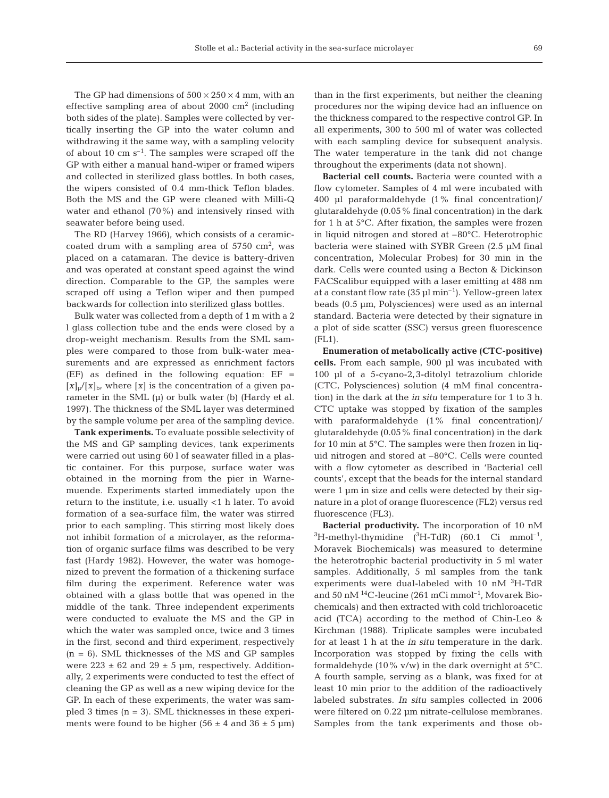The GP had dimensions of  $500 \times 250 \times 4$  mm, with an effective sampling area of about 2000  $\text{cm}^2$  (including both sides of the plate). Samples were collected by vertically inserting the GP into the water column and withdrawing it the same way, with a sampling velocity of about 10 cm  $s^{-1}$ . The samples were scraped off the GP with either a manual hand-wiper or framed wipers and collected in sterilized glass bottles. In both cases, the wipers consisted of 0.4 mm-thick Teflon blades. Both the MS and the GP were cleaned with Milli-Q water and ethanol (70%) and intensively rinsed with seawater before being used.

The RD (Harvey 1966), which consists of a ceramiccoated drum with a sampling area of  $5750 \text{ cm}^2$ , was placed on a catamaran. The device is battery-driven and was operated at constant speed against the wind direction. Comparable to the GP, the samples were scraped off using a Teflon wiper and then pumped backwards for collection into sterilized glass bottles.

Bulk water was collected from a depth of 1 m with a 2 l glass collection tube and the ends were closed by a drop-weight mechanism. Results from the SML samples were compared to those from bulk-water measurements and are expressed as enrichment factors  $(EF)$  as defined in the following equation:  $EF =$  $[x]_{\mu}/[x]_{\rm b}$ , where  $[x]$  is the concentration of a given parameter in the SML  $(\mu)$  or bulk water (b) (Hardy et al. 1997). The thickness of the SML layer was determined by the sample volume per area of the sampling device.

**Tank experiments.** To evaluate possible selectivity of the MS and GP sampling devices, tank experiments were carried out using 60 l of seawater filled in a plastic container. For this purpose, surface water was obtained in the morning from the pier in Warnemuende. Experiments started immediately upon the return to the institute, i.e. usually <1 h later. To avoid formation of a sea-surface film, the water was stirred prior to each sampling. This stirring most likely does not inhibit formation of a microlayer, as the reformation of organic surface films was described to be very fast (Hardy 1982). However, the water was homogenized to prevent the formation of a thickening surface film during the experiment. Reference water was obtained with a glass bottle that was opened in the middle of the tank. Three independent experiments were conducted to evaluate the MS and the GP in which the water was sampled once, twice and 3 times in the first, second and third experiment, respectively  $(n = 6)$ . SML thicknesses of the MS and GP samples were  $223 \pm 62$  and  $29 \pm 5$  µm, respectively. Additionally, 2 experiments were conducted to test the effect of cleaning the GP as well as a new wiping device for the GP. In each of these experiments, the water was sampled 3 times  $(n = 3)$ . SML thicknesses in these experiments were found to be higher  $(56 \pm 4 \text{ and } 36 \pm 5 \text{ µm})$  than in the first experiments, but neither the cleaning procedures nor the wiping device had an influence on the thickness compared to the respective control GP. In all experiments, 300 to 500 ml of water was collected with each sampling device for subsequent analysis. The water temperature in the tank did not change throughout the experiments (data not shown).

**Bacterial cell counts.** Bacteria were counted with a flow cytometer. Samples of 4 ml were incubated with 400 µl paraformaldehyde (1% final concentration)/ glutaraldehyde (0.05% final concentration) in the dark for 1 h at 5°C. After fixation, the samples were frozen in liquid nitrogen and stored at –80°C. Heterotrophic bacteria were stained with SYBR Green (2.5 µM final concentration, Molecular Probes) for 30 min in the dark. Cells were counted using a Becton & Dickinson FACScalibur equipped with a laser emitting at 488 nm at a constant flow rate  $(35 \mu\mathrm{I} \,\mathrm{min}^{-1})$ . Yellow-green latex beads (0.5 µm, Polysciences) were used as an internal standard. Bacteria were detected by their signature in a plot of side scatter (SSC) versus green fluorescence (FL1).

**Enumeration of metabolically active (CTC-positive) cells.** From each sample, 900 µl was incubated with 100 µl of a 5-cyano-2,3-ditolyl tetrazolium chloride (CTC, Polysciences) solution (4 mM final concentration) in the dark at the *in situ* temperature for 1 to 3 h. CTC uptake was stopped by fixation of the samples with paraformaldehyde (1% final concentration)/ glutaraldehyde (0.05% final concentration) in the dark for 10 min at 5°C. The samples were then frozen in liquid nitrogen and stored at –80°C. Cells were counted with a flow cytometer as described in 'Bacterial cell counts', except that the beads for the internal standard were 1 µm in size and cells were detected by their signature in a plot of orange fluorescence (FL2) versus red fluorescence (FL3).

**Bacterial productivity.** The incorporation of 10 nM  ${}^{3}\text{H-methyl-thymidine}$  ( ${}^{3}\text{H-TdR}$ ) (60.1 Ci mmol<sup>-1</sup>, Moravek Biochemicals) was measured to determine the heterotrophic bacterial productivity in 5 ml water samples. Additionally, 5 ml samples from the tank experiments were dual-labeled with 10 nM <sup>3</sup>H-TdR and 50 nM <sup>14</sup>C-leucine (261 mCi mmol<sup>-1</sup>, Movarek Biochemicals) and then extracted with cold trichloroacetic acid (TCA) according to the method of Chin-Leo & Kirchman (1988). Triplicate samples were incubated for at least 1 h at the *in situ* temperature in the dark. Incorporation was stopped by fixing the cells with formaldehyde (10% v/w) in the dark overnight at 5°C. A fourth sample, serving as a blank, was fixed for at least 10 min prior to the addition of the radioactively labeled substrates. *In situ* samples collected in 2006 were filtered on 0.22 µm nitrate-cellulose membranes. Samples from the tank experiments and those ob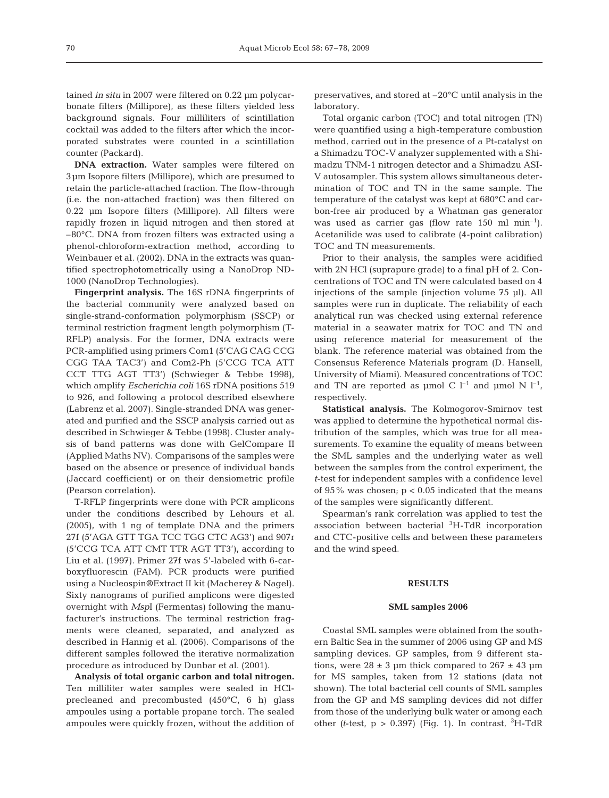tained *in situ* in 2007 were filtered on 0.22 µm polycarbonate filters (Millipore), as these filters yielded less background signals. Four milliliters of scintillation cocktail was added to the filters after which the incorporated substrates were counted in a scintillation counter (Packard).

**DNA extraction.** Water samples were filtered on 3µm Isopore filters (Millipore), which are presumed to retain the particle-attached fraction. The flow-through (i.e. the non-attached fraction) was then filtered on 0.22 µm Isopore filters (Millipore). All filters were rapidly frozen in liquid nitrogen and then stored at –80°C. DNA from frozen filters was extracted using a phenol-chloroform-extraction method, according to Weinbauer et al. (2002). DNA in the extracts was quantified spectrophotometrically using a NanoDrop ND-1000 (NanoDrop Technologies).

**Fingerprint analysis.** The 16S rDNA fingerprints of the bacterial community were analyzed based on single-strand-conformation polymorphism (SSCP) or terminal restriction fragment length polymorphism (T-RFLP) analysis. For the former, DNA extracts were PCR-amplified using primers Com1 (5'CAG CAG CCG CGG TAA TAC3') and Com2-Ph (5'CCG TCA ATT CCT TTG AGT TT3') (Schwieger & Tebbe 1998), which amplify *Escherichia coli* 16S rDNA positions 519 to 926, and following a protocol described elsewhere (Labrenz et al. 2007). Single-stranded DNA was generated and purified and the SSCP analysis carried out as described in Schwieger & Tebbe (1998). Cluster analysis of band patterns was done with GelCompare II (Applied Maths NV). Comparisons of the samples were based on the absence or presence of individual bands (Jaccard coefficient) or on their densiometric profile (Pearson correlation).

T-RFLP fingerprints were done with PCR amplicons under the conditions described by Lehours et al. (2005), with 1 ng of template DNA and the primers 27f (5'AGA GTT TGA TCC TGG CTC AG3') and 907r (5'CCG TCA ATT CMT TTR AGT TT3'), according to Liu et al. (1997). Primer 27f was 5'-labeled with 6-carboxyfluorescin (FAM). PCR products were purified using a Nucleospin®Extract II kit (Macherey & Nagel). Sixty nanograms of purified amplicons were digested overnight with *Msp*I (Fermentas) following the manufacturer's instructions. The terminal restriction fragments were cleaned, separated, and analyzed as described in Hannig et al. (2006). Comparisons of the different samples followed the iterative normalization procedure as introduced by Dunbar et al. (2001).

**Analysis of total organic carbon and total nitrogen.** Ten milliliter water samples were sealed in HClprecleaned and precombusted (450°C, 6 h) glass ampoules using a portable propane torch. The sealed ampoules were quickly frozen, without the addition of preservatives, and stored at –20°C until analysis in the laboratory.

Total organic carbon (TOC) and total nitrogen (TN) were quantified using a high-temperature combustion method, carried out in the presence of a Pt-catalyst on a Shimadzu TOC-V analyzer supplemented with a Shimadzu TNM-1 nitrogen detector and a Shimadzu ASI-V autosampler. This system allows simultaneous determination of TOC and TN in the same sample. The temperature of the catalyst was kept at 680°C and carbon-free air produced by a Whatman gas generator was used as carrier gas (flow rate  $150 \text{ ml } \text{min}^{-1}$ ). Acetanilide was used to calibrate (4-point calibration) TOC and TN measurements.

Prior to their analysis, the samples were acidified with 2N HCl (suprapure grade) to a final pH of 2. Concentrations of TOC and TN were calculated based on 4 injections of the sample (injection volume 75 µl). All samples were run in duplicate. The reliability of each analytical run was checked using external reference material in a seawater matrix for TOC and TN and using reference material for measurement of the blank. The reference material was obtained from the Consensus Reference Materials program (D. Hansell, University of Miami). Measured concentrations of TOC and TN are reported as µmol C  $l^{-1}$  and µmol N  $l^{-1}$ , respectively.

**Statistical analysis.** The Kolmogorov-Smirnov test was applied to determine the hypothetical normal distribution of the samples, which was true for all measurements. To examine the equality of means between the SML samples and the underlying water as well between the samples from the control experiment, the *t*-test for independent samples with a confidence level of 95% was chosen;  $p < 0.05$  indicated that the means of the samples were significantly different.

Spearman's rank correlation was applied to test the association between bacterial <sup>3</sup>H-TdR incorporation and CTC-positive cells and between these parameters and the wind speed.

## **RESULTS**

### **SML samples 2006**

Coastal SML samples were obtained from the southern Baltic Sea in the summer of 2006 using GP and MS sampling devices. GP samples, from 9 different stations, were  $28 \pm 3$  µm thick compared to  $267 \pm 43$  µm for MS samples, taken from 12 stations (data not shown). The total bacterial cell counts of SML samples from the GP and MS sampling devices did not differ from those of the underlying bulk water or among each other (*t*-test,  $p > 0.397$ ) (Fig. 1). In contrast,  ${}^{3}H$ -TdR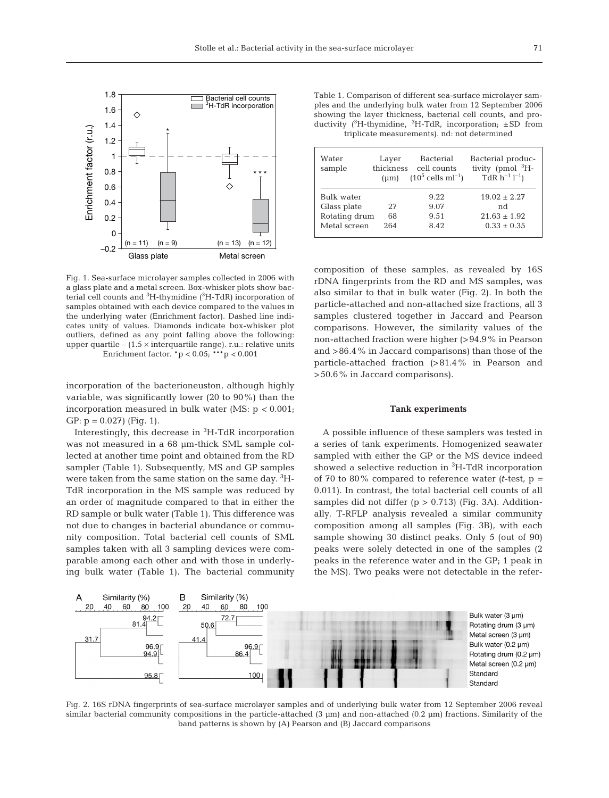

Fig. 1. Sea-surface microlayer samples collected in 2006 with a glass plate and a metal screen. Box-whisker plots show bacterial cell counts and  ${}^{3}{\rm H}$ -thymidine ( ${}^{3}{\rm H}$ -TdR) incorporation of samples obtained with each device compared to the values in the underlying water (Enrichment factor). Dashed line indicates unity of values. Diamonds indicate box-whisker plot outliers, defined as any point falling above the following: upper quartile –  $(1.5 \times$  interquartile range). r.u.: relative units Enrichment factor. \*p < 0.05; \*\*\*p *<* 0.001

incorporation of the bacterioneuston, although highly variable, was significantly lower (20 to 90%) than the incorporation measured in bulk water (MS: p *<* 0.001; GP:  $p = 0.027$ ) (Fig. 1).

Interestingly, this decrease in <sup>3</sup>H-TdR incorporation was not measured in a 68 µm-thick SML sample collected at another time point and obtained from the RD sampler (Table 1). Subsequently, MS and GP samples were taken from the same station on the same day. <sup>3</sup>H-TdR incorporation in the MS sample was reduced by an order of magnitude compared to that in either the RD sample or bulk water (Table 1). This difference was not due to changes in bacterial abundance or community composition. Total bacterial cell counts of SML samples taken with all 3 sampling devices were comparable among each other and with those in underlying bulk water (Table 1). The bacterial community

Table 1. Comparison of different sea-surface microlayer samples and the underlying bulk water from 12 September 2006 showing the layer thickness, bacterial cell counts, and productivity ( ${}^{3}$ H-thymidine,  ${}^{3}$ H-TdR, incorporation;  $\pm$ SD from triplicate measurements). nd: not determined

| Water<br>sample                                            | Layer<br>thickness<br>(num) | <b>Bacterial</b><br>cell counts<br>$(10^5 \text{ cells ml}^{-1})$ | Bacterial produc-<br>tivity (pmol ${}^{3}H-$<br>$TdR h^{-1} l^{-1}$ |
|------------------------------------------------------------|-----------------------------|-------------------------------------------------------------------|---------------------------------------------------------------------|
| Bulk water<br>Glass plate<br>Rotating drum<br>Metal screen | 27<br>68<br>264             | 9.22<br>9.07<br>9.51<br>8.42                                      | $19.02 \pm 2.27$<br>nd<br>$21.63 \pm 1.92$<br>$0.33 \pm 0.35$       |

composition of these samples, as revealed by 16S rDNA fingerprints from the RD and MS samples, was also similar to that in bulk water (Fig. 2). In both the particle-attached and non-attached size fractions, all 3 samples clustered together in Jaccard and Pearson comparisons. However, the similarity values of the non-attached fraction were higher (>94.9% in Pearson and >86.4% in Jaccard comparisons) than those of the particle-attached fraction (>81.4% in Pearson and >50.6% in Jaccard comparisons).

# **Tank experiments**

A possible influence of these samplers was tested in a series of tank experiments. Homogenized seawater sampled with either the GP or the MS device indeed showed a selective reduction in <sup>3</sup>H-TdR incorporation of 70 to 80% compared to reference water *(t*-test, p *=* 0.011). In contrast, the total bacterial cell counts of all samples did not differ  $(p > 0.713)$  (Fig. 3A). Additionally, T-RFLP analysis revealed a similar community composition among all samples (Fig. 3B), with each sample showing 30 distinct peaks. Only 5 (out of 90) peaks were solely detected in one of the samples (2 peaks in the reference water and in the GP; 1 peak in the MS). Two peaks were not detectable in the refer-



Fig. 2. 16S rDNA fingerprints of sea-surface microlayer samples and of underlying bulk water from 12 September 2006 reveal similar bacterial community compositions in the particle-attached (3 µm) and non-attached (0.2 µm) fractions. Similarity of the band patterns is shown by (A) Pearson and (B) Jaccard comparisons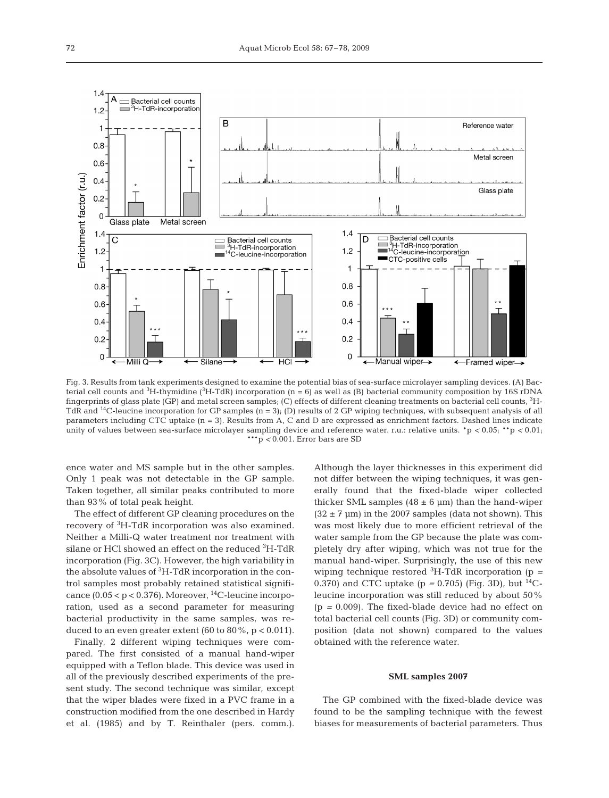

Fig. 3. Results from tank experiments designed to examine the potential bias of sea-surface microlayer sampling devices. (A) Bacterial cell counts and  ${}^3\text{H-thymidine}$  ( ${}^3\text{H-TdR}$ ) incorporation (n = 6) as well as (B) bacterial community composition by 16S rDNA fingerprints of glass plate (GP) and metal screen samples; (C) effects of different cleaning treatments on bacterial cell counts, 3 H-TdR and <sup>14</sup>C-leucine incorporation for GP samples  $(n = 3)$ ; (D) results of 2 GP wiping techniques, with subsequent analysis of all parameters including CTC uptake (n = 3). Results from A, C and D are expressed as enrichment factors. Dashed lines indicate unity of values between sea-surface microlayer sampling device and reference water. r.u.: relative units. \*p *<* 0.05; \*\*p *<* 0.01; \*\*\*p *<* 0.001. Error bars are SD

ence water and MS sample but in the other samples. Only 1 peak was not detectable in the GP sample. Taken together, all similar peaks contributed to more than 93% of total peak height.

The effect of different GP cleaning procedures on the recovery of <sup>3</sup> H-TdR incorporation was also examined. Neither a Milli-Q water treatment nor treatment with silane or HCl showed an effect on the reduced <sup>3</sup>H-TdR incorporation (Fig. 3C). However, the high variability in the absolute values of <sup>3</sup>H-TdR incorporation in the control samples most probably retained statistical significance  $(0.05 < p < 0.376)$ . Moreover, <sup>14</sup>C-leucine incorporation, used as a second parameter for measuring bacterial productivity in the same samples, was reduced to an even greater extent (60 to  $80\%$ ,  $p < 0.011$ ).

Finally, 2 different wiping techniques were compared. The first consisted of a manual hand-wiper equipped with a Teflon blade. This device was used in all of the previously described experiments of the present study. The second technique was similar, except that the wiper blades were fixed in a PVC frame in a construction modified from the one described in Hardy et al. (1985) and by T. Reinthaler (pers. comm.).

Although the layer thicknesses in this experiment did not differ between the wiping techniques, it was generally found that the fixed-blade wiper collected thicker SML samples  $(48 \pm 6 \mu m)$  than the hand-wiper  $(32 \pm 7 \text{ }\mu\text{m})$  in the 2007 samples (data not shown). This was most likely due to more efficient retrieval of the water sample from the GP because the plate was completely dry after wiping, which was not true for the manual hand-wiper. Surprisingly, the use of this new wiping technique restored <sup>3</sup> H-TdR incorporation (p *=* 0.370) and CTC uptake ( $p = 0.705$ ) (Fig. 3D), but <sup>14</sup>Cleucine incorporation was still reduced by about 50% (p *=* 0.009). The fixed-blade device had no effect on total bacterial cell counts (Fig. 3D) or community composition (data not shown) compared to the values obtained with the reference water.

#### **SML samples 2007**

The GP combined with the fixed-blade device was found to be the sampling technique with the fewest biases for measurements of bacterial parameters. Thus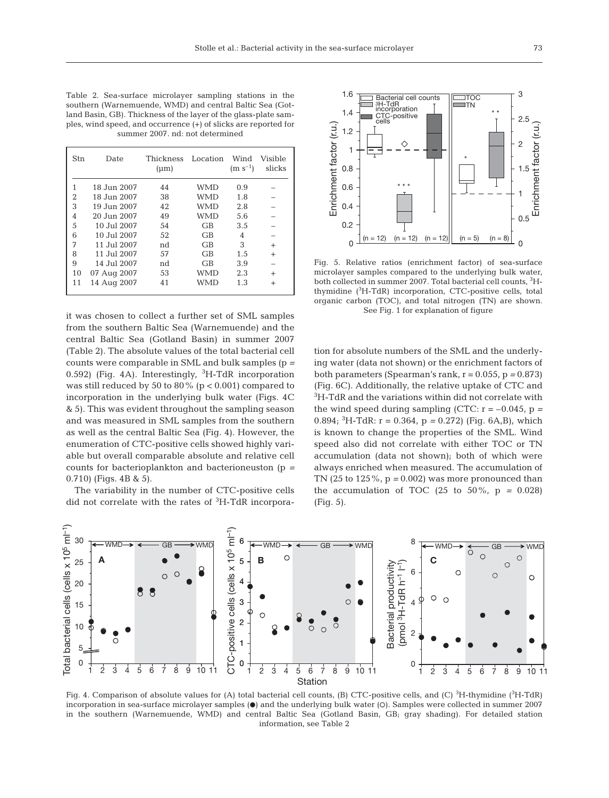Table 2. Sea-surface microlayer sampling stations in the southern (Warnemuende, WMD) and central Baltic Sea (Gotland Basin, GB). Thickness of the layer of the glass-plate samples, wind speed, and occurrence (+) of slicks are reported for summer 2007. nd: not determined

| Stn | Date        | <b>Thickness</b><br>$(\mu m)$ | Location  | Wind<br>$(m s^{-1})$ | Visible<br>slicks |
|-----|-------------|-------------------------------|-----------|----------------------|-------------------|
|     | 18 Jun 2007 | 44                            | WMD       | 0.9                  |                   |
| 2   | 18 Jun 2007 | 38                            | WMD       | 1.8                  |                   |
| 3   | 19 Jun 2007 | 42                            | WMD       | 2.8                  |                   |
| 4   | 20 Jun 2007 | 49                            | WMD       | 5.6                  |                   |
| 5   | 10 Jul 2007 | 54                            | GB        | 3.5                  |                   |
| 6   | 10 Jul 2007 | 52                            | GB        | 4                    |                   |
| 7   | 11 Jul 2007 | nd                            | <b>GB</b> | 3                    | $^{+}$            |
| 8   | 11 Jul 2007 | 57                            | <b>GB</b> | 1.5                  | $\ddot{}$         |
| 9   | 14 Jul 2007 | nd                            | GB        | 3.9                  |                   |
| 10  | 07 Aug 2007 | 53                            | WMD       | 2.3                  | $^{+}$            |
| 11  | 14 Aug 2007 | 41                            | WMD       | 1.3                  | $^{+}$            |

it was chosen to collect a further set of SML samples from the southern Baltic Sea (Warnemuende) and the central Baltic Sea (Gotland Basin) in summer 2007 (Table 2). The absolute values of the total bacterial cell counts were comparable in SML and bulk samples (p *=* 0.592) (Fig. 4A). Interestingly, <sup>3</sup>H-TdR incorporation was still reduced by 50 to 80% ( $p < 0.001$ ) compared to incorporation in the underlying bulk water (Figs. 4C & 5). This was evident throughout the sampling season and was measured in SML samples from the southern as well as the central Baltic Sea (Fig. 4). However, the enumeration of CTC-positive cells showed highly variable but overall comparable absolute and relative cell counts for bacterioplankton and bacterioneuston (p *=* 0.710) (Figs. 4B & 5).

The variability in the number of CTC-positive cells did not correlate with the rates of <sup>3</sup> H-TdR incorpora-



Fig. 5. Relative ratios (enrichment factor) of sea-surface microlayer samples compared to the underlying bulk water, both collected in summer 2007. Total bacterial cell counts, <sup>3</sup>Hthymidine (3 H-TdR) incorporation, CTC-positive cells, total organic carbon (TOC), and total nitrogen (TN) are shown. See Fig. 1 for explanation of figure

tion for absolute numbers of the SML and the underlying water (data not shown) or the enrichment factors of both parameters (Spearman's rank,  $r = 0.055$ ,  $p = 0.873$ ) (Fig. 6C). Additionally, the relative uptake of CTC and 3 H-TdR and the variations within did not correlate with the wind speed during sampling (CTC:  $r = -0.045$ ,  $p =$ 0.894; <sup>3</sup> H-TdR: r = 0.364, p *=* 0.272) (Fig. 6A,B), which is known to change the properties of the SML. Wind speed also did not correlate with either TOC or TN accumulation (data not shown); both of which were always enriched when measured. The accumulation of TN (25 to 125%, p *=* 0.002) was more pronounced than the accumulation of TOC  $(25 \text{ to } 50\% , p = 0.028)$ (Fig. 5).



Fig. 4. Comparison of absolute values for (A) total bacterial cell counts, (B) CTC-positive cells, and (C)  ${}^{3}$ H-thymidine ( ${}^{3}$ H-TdR) incorporation in sea-surface microlayer samples  $\textcircled{\bullet}$  and the underlying bulk water (O). Samples were collected in summer 2007 in the southern (Warnemuende, WMD) and central Baltic Sea (Gotland Basin, GB; gray shading). For detailed station information, see Table 2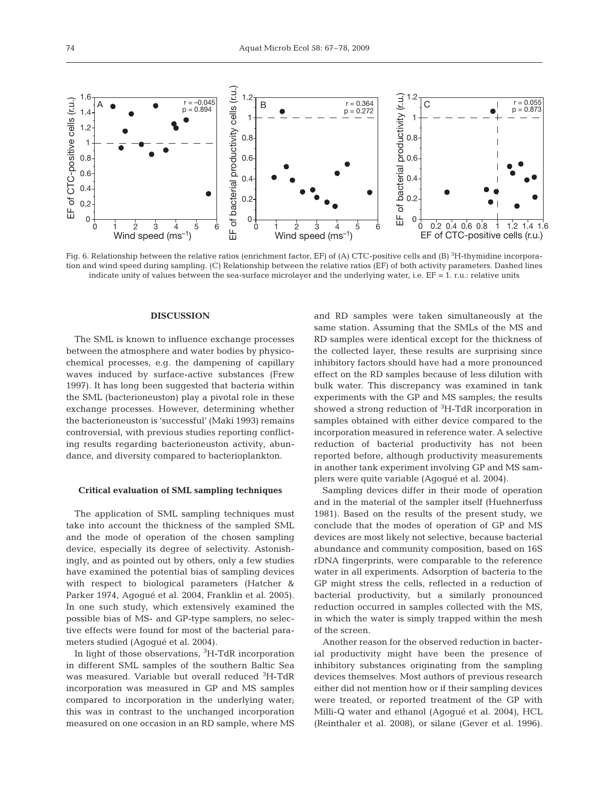

Fig. 6. Relationship between the relative ratios (enrichment factor, EF) of (A) CTC-positive cells and (B)  $^3{\rm H}$ -thymidine incorporation and wind speed during sampling. (C) Relationship between the relative ratios (EF) of both activity parameters. Dashed lines indicate unity of values between the sea-surface microlayer and the underlying water, i.e. EF = 1. r.u.: relative units

# **DISCUSSION**

The SML is known to influence exchange processes between the atmosphere and water bodies by physicochemical processes, e.g. the dampening of capillary waves induced by surface-active substances (Frew 1997). It has long been suggested that bacteria within the SML (bacterioneuston) play a pivotal role in these exchange processes. However, determining whether the bacterioneuston is 'successful' (Maki 1993) remains controversial, with previous studies reporting conflicting results regarding bacterioneuston activity, abundance, and diversity compared to bacterioplankton.

# **Critical evaluation of SML sampling techniques**

The application of SML sampling techniques must take into account the thickness of the sampled SML and the mode of operation of the chosen sampling device, especially its degree of selectivity. Astonishingly, and as pointed out by others, only a few studies have examined the potential bias of sampling devices with respect to biological parameters (Hatcher & Parker 1974, Agogué et al. 2004, Franklin et al. 2005). In one such study, which extensively examined the possible bias of MS- and GP-type samplers, no selective effects were found for most of the bacterial parameters studied (Agogué et al. 2004).

In light of those observations, <sup>3</sup>H-TdR incorporation in different SML samples of the southern Baltic Sea was measured. Variable but overall reduced <sup>3</sup>H-TdR incorporation was measured in GP and MS samples compared to incorporation in the underlying water; this was in contrast to the unchanged incorporation measured on one occasion in an RD sample, where MS and RD samples were taken simultaneously at the same station. Assuming that the SMLs of the MS and RD samples were identical except for the thickness of the collected layer, these results are surprising since inhibitory factors should have had a more pronounced effect on the RD samples because of less dilution with bulk water. This discrepancy was examined in tank experiments with the GP and MS samples; the results showed a strong reduction of <sup>3</sup>H-TdR incorporation in samples obtained with either device compared to the incorporation measured in reference water. A selective reduction of bacterial productivity has not been reported before, although productivity measurements in another tank experiment involving GP and MS samplers were quite variable (Agogué et al. 2004).

Sampling devices differ in their mode of operation and in the material of the sampler itself (Huehnerfuss 1981). Based on the results of the present study, we conclude that the modes of operation of GP and MS devices are most likely not selective, because bacterial abundance and community composition, based on 16S rDNA fingerprints, were comparable to the reference water in all experiments. Adsorption of bacteria to the GP might stress the cells, reflected in a reduction of bacterial productivity, but a similarly pronounced reduction occurred in samples collected with the MS, in which the water is simply trapped within the mesh of the screen.

Another reason for the observed reduction in bacterial productivity might have been the presence of inhibitory substances originating from the sampling devices themselves. Most authors of previous research either did not mention how or if their sampling devices were treated, or reported treatment of the GP with Milli-Q water and ethanol (Agogué et al. 2004), HCL (Reinthaler et al. 2008), or silane (Gever et al. 1996).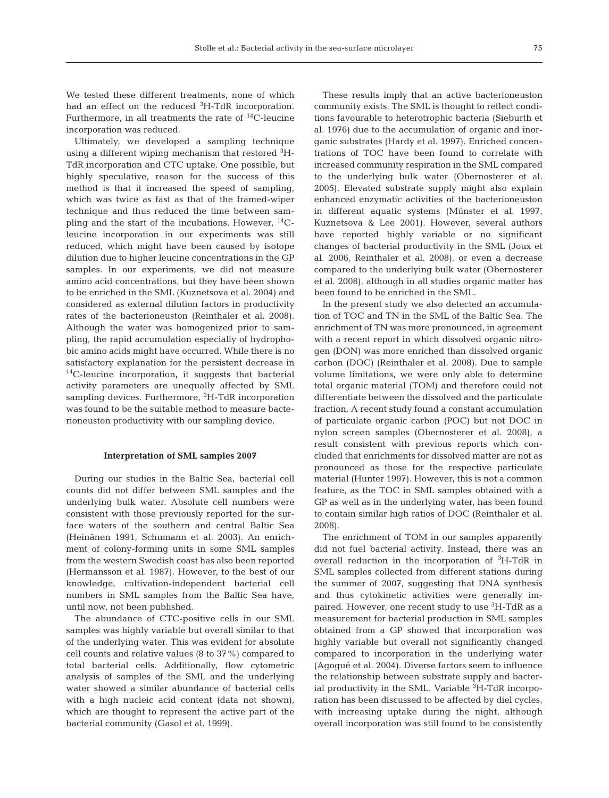We tested these different treatments, none of which had an effect on the reduced <sup>3</sup>H-TdR incorporation. Furthermore, in all treatments the rate of  $^{14}$ C-leucine incorporation was reduced.

Ultimately, we developed a sampling technique using a different wiping mechanism that restored  ${}^{3}\mathrm{H}\text{-}$ TdR incorporation and CTC uptake. One possible, but highly speculative, reason for the success of this method is that it increased the speed of sampling, which was twice as fast as that of the framed-wiper technique and thus reduced the time between sampling and the start of the incubations. However, 14Cleucine incorporation in our experiments was still reduced, which might have been caused by isotope dilution due to higher leucine concentrations in the GP samples. In our experiments, we did not measure amino acid concentrations, but they have been shown to be enriched in the SML (Kuznetsova et al. 2004) and considered as external dilution factors in productivity rates of the bacterioneuston (Reinthaler et al. 2008). Although the water was homogenized prior to sampling, the rapid accumulation especially of hydrophobic amino acids might have occurred. While there is no satisfactory explanation for the persistent decrease in 14C-leucine incorporation, it suggests that bacterial activity parameters are unequally affected by SML sampling devices. Furthermore, <sup>3</sup>H-TdR incorporation was found to be the suitable method to measure bacterioneuston productivity with our sampling device.

## **Interpretation of SML samples 2007**

During our studies in the Baltic Sea, bacterial cell counts did not differ between SML samples and the underlying bulk water. Absolute cell numbers were consistent with those previously reported for the surface waters of the southern and central Baltic Sea (Heinänen 1991, Schumann et al. 2003). An enrichment of colony-forming units in some SML samples from the western Swedish coast has also been reported (Hermansson et al. 1987). However, to the best of our knowledge, cultivation-independent bacterial cell numbers in SML samples from the Baltic Sea have, until now, not been published.

The abundance of CTC-positive cells in our SML samples was highly variable but overall similar to that of the underlying water. This was evident for absolute cell counts and relative values (8 to 37%) compared to total bacterial cells. Additionally, flow cytometric analysis of samples of the SML and the underlying water showed a similar abundance of bacterial cells with a high nucleic acid content (data not shown), which are thought to represent the active part of the bacterial community (Gasol et al. 1999).

These results imply that an active bacterioneuston community exists. The SML is thought to reflect conditions favourable to heterotrophic bacteria (Sieburth et al. 1976) due to the accumulation of organic and inorganic substrates (Hardy et al. 1997). Enriched concentrations of TOC have been found to correlate with increased community respiration in the SML compared to the underlying bulk water (Obernosterer et al. 2005). Elevated substrate supply might also explain enhanced enzymatic activities of the bacterioneuston in different aquatic systems (Münster et al. 1997, Kuznetsova & Lee 2001). However, several authors have reported highly variable or no significant changes of bacterial productivity in the SML (Joux et al. 2006, Reinthaler et al. 2008), or even a decrease compared to the underlying bulk water (Obernosterer et al. 2008), although in all studies organic matter has been found to be enriched in the SML.

In the present study we also detected an accumulation of TOC and TN in the SML of the Baltic Sea. The enrichment of TN was more pronounced, in agreement with a recent report in which dissolved organic nitrogen (DON) was more enriched than dissolved organic carbon (DOC) (Reinthaler et al. 2008). Due to sample volume limitations, we were only able to determine total organic material (TOM) and therefore could not differentiate between the dissolved and the particulate fraction. A recent study found a constant accumulation of particulate organic carbon (POC) but not DOC in nylon screen samples (Obernosterer et al. 2008), a result consistent with previous reports which concluded that enrichments for dissolved matter are not as pronounced as those for the respective particulate material (Hunter 1997). However, this is not a common feature, as the TOC in SML samples obtained with a GP as well as in the underlying water, has been found to contain similar high ratios of DOC (Reinthaler et al. 2008).

The enrichment of TOM in our samples apparently did not fuel bacterial activity. Instead, there was an overall reduction in the incorporation of <sup>3</sup>H-TdR in SML samples collected from different stations during the summer of 2007, suggesting that DNA synthesis and thus cytokinetic activities were generally impaired. However, one recent study to use <sup>3</sup>H-TdR as a measurement for bacterial production in SML samples obtained from a GP showed that incorporation was highly variable but overall not significantly changed compared to incorporation in the underlying water (Agogué et al. 2004). Diverse factors seem to influence the relationship between substrate supply and bacterial productivity in the SML. Variable <sup>3</sup>H-TdR incorporation has been discussed to be affected by diel cycles, with increasing uptake during the night, although overall incorporation was still found to be consistently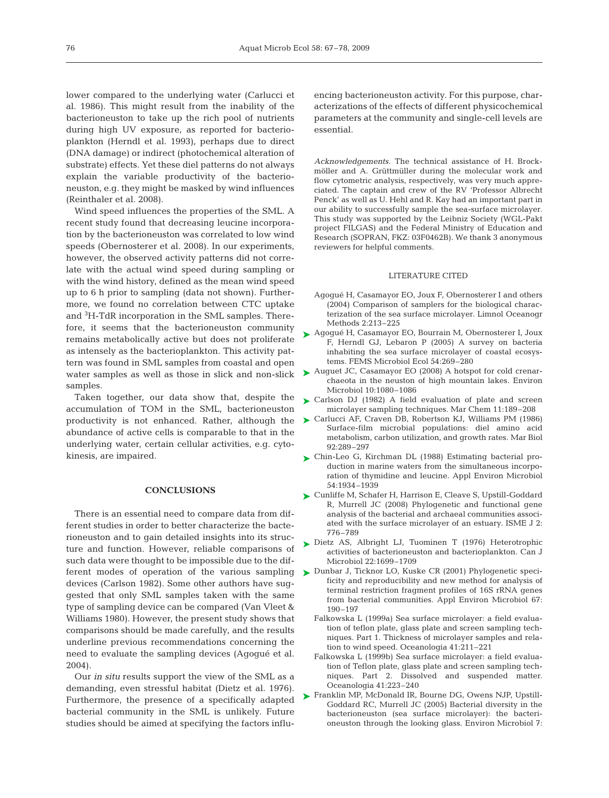lower compared to the underlying water (Carlucci et al. 1986). This might result from the inability of the bacterioneuston to take up the rich pool of nutrients during high UV exposure, as reported for bacterioplankton (Herndl et al. 1993), perhaps due to direct (DNA damage) or indirect (photochemical alteration of substrate) effects. Yet these diel patterns do not always explain the variable productivity of the bacterioneuston, e.g. they might be masked by wind influences (Reinthaler et al. 2008).

Wind speed influences the properties of the SML. A recent study found that decreasing leucine incorporation by the bacterioneuston was correlated to low wind speeds (Obernosterer et al. 2008). In our experiments, however, the observed activity patterns did not correlate with the actual wind speed during sampling or with the wind history, defined as the mean wind speed up to 6 h prior to sampling (data not shown). Furthermore, we found no correlation between CTC uptake and <sup>3</sup>H-TdR incorporation in the SML samples. Therefore, it seems that the bacterioneuston community remains metabolically active but does not proliferate as intensely as the bacterioplankton. This activity pattern was found in SML samples from coastal and open water samples as well as those in slick and non-slick samples.

Taken together, our data show that, despite the accumulation of TOM in the SML, bacterioneuston productivity is not enhanced. Rather, although the abundance of active cells is comparable to that in the underlying water, certain cellular activities, e.g. cytokinesis, are impaired.

# **CONCLUSIONS**

There is an essential need to compare data from different studies in order to better characterize the bacterioneuston and to gain detailed insights into its structure and function. However, reliable comparisons of such data were thought to be impossible due to the different modes of operation of the various sampling  $\triangleright$  Dunbar J, Ticknor LO, Kuske CR (2001) Phylogenetic specidevices (Carlson 1982). Some other authors have suggested that only SML samples taken with the same type of sampling device can be compared (Van Vleet & Williams 1980). However, the present study shows that comparisons should be made carefully, and the results underline previous recommendations concerning the need to evaluate the sampling devices (Agogué et al. 2004).

Our *in situ* results support the view of the SML as a demanding, even stressful habitat (Dietz et al. 1976). Furthermore, the presence of a specifically adapted bacterial community in the SML is unlikely. Future studies should be aimed at specifying the factors influencing bacterioneuston activity. For this purpose, characterizations of the effects of different physicochemical parameters at the community and single-cell levels are essential.

*Acknowledgements.* The technical assistance of H. Brockmöller and A. Grüttmüller during the molecular work and flow cytometric analysis, respectively, was very much appreciated. The captain and crew of the RV 'Professor Albrecht Penck' as well as U. Hehl and R. Kay had an important part in our ability to successfully sample the sea-surface microlayer. This study was supported by the Leibniz Society (WGL-Pakt project FILGAS) and the Federal Ministry of Education and Research (SOPRAN, FKZ: 03F0462B). We thank 3 anonymous reviewers for helpful comments.

# LITERATURE CITED

- Agogué H, Casamayor EO, Joux F, Obernosterer I and others (2004) Comparison of samplers for the biological characterization of the sea surface microlayer. Limnol Oceanogr Methods 2:213–225
- ► Agogué H, Casamayor EO, Bourrain M, Obernosterer I, Joux F, Herndl GJ, Lebaron P (2005) A survey on bacteria inhabiting the sea surface microlayer of coastal ecosystems. FEMS Microbiol Ecol 54:269–280
- ► Auguet JC, Casamayor EO (2008) A hotspot for cold crenarchaeota in the neuston of high mountain lakes. Environ Microbiol 10:1080–1086
- ► Carlson DJ (1982) A field evaluation of plate and screen microlayer sampling techniques. Mar Chem 11:189–208
- ► Carlucci AF, Craven DB, Robertson KJ, Williams PM (1986) Surface-film microbial populations: diel amino acid metabolism, carbon utilization, and growth rates. Mar Biol 92:289–297
- ► Chin-Leo G, Kirchman DL (1988) Estimating bacterial production in marine waters from the simultaneous incorporation of thymidine and leucine. Appl Environ Microbiol 54:1934–1939
- ► Cunliffe M, Schafer H, Harrison E, Cleave S, Upstill-Goddard R, Murrell JC (2008) Phylogenetic and functional gene analysis of the bacterial and archaeal communities associated with the surface microlayer of an estuary. ISME J 2: 776–789
- ▶ Dietz AS, Albright LJ, Tuominen T (1976) Heterotrophic activities of bacterioneuston and bacterioplankton. Can J Microbiol 22:1699–1709
	- ficity and reproducibility and new method for analysis of terminal restriction fragment profiles of 16S rRNA genes from bacterial communities. Appl Environ Microbiol 67: 190–197
	- Falkowska L (1999a) Sea surface microlayer: a field evaluation of teflon plate, glass plate and screen sampling techniques. Part 1. Thickness of microlayer samples and relation to wind speed. Oceanologia 41:211–221
	- Falkowska L (1999b) Sea surface microlayer: a field evaluation of Teflon plate, glass plate and screen sampling techniques. Part 2. Dissolved and suspended matter. Oceanologia 41:223–240
- ► Franklin MP, McDonald IR, Bourne DG, Owens NJP, Upstill Goddard RC, Murrell JC (2005) Bacterial diversity in the bacterioneuston (sea surface microlayer): the bacterioneuston through the looking glass. Environ Microbiol 7: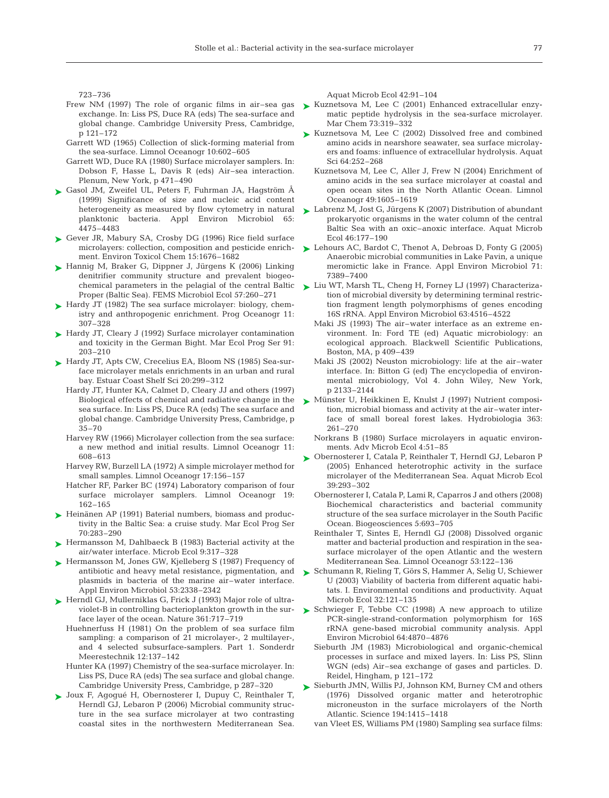723–736

- Frew NM (1997) The role of organic films in air–sea gas exchange. In: Liss PS, Duce RA (eds) The sea-surface and global change. Cambridge University Press, Cambridge, p 121–172
- Garrett WD (1965) Collection of slick-forming material from the sea-surface. Limnol Oceanogr 10:602–605
- Garrett WD, Duce RA (1980) Surface microlayer samplers. In: Dobson F, Hasse L, Davis R (eds) Air–sea interaction. Plenum, New York, p 471–490
- ► Gasol JM, Zweifel UL, Peters F, Fuhrman JA, Hagström A (1999) Significance of size and nucleic acid content planktonic bacteria. Appl Environ Microbiol 65: 4475–4483
- ► Gever JR, Mabury SA, Crosby DG (1996) Rice field surface microlayers: collection, composition and pesticide enrichment. Environ Toxicol Chem 15:1676–1682
- ► Hannig M, Braker G, Dippner J, Jürgens K (2006) Linking denitrifier community structure and prevalent biogeochemical parameters in the pelagial of the central Baltic Proper (Baltic Sea). FEMS Microbiol Ecol 57:260–271
- ► Hardy JT (1982) The sea surface microlayer: biology, chemistry and anthropogenic enrichment. Prog Oceanogr 11: 307–328
- ► Hardy JT, Cleary J (1992) Surface microlayer contamination and toxicity in the German Bight. Mar Ecol Prog Ser 91: 203–210
- ► Hardy JT, Apts CW, Crecelius EA, Bloom NS (1985) Sea-surface microlayer metals enrichments in an urban and rural bay. Estuar Coast Shelf Sci 20:299–312
	- Hardy JT, Hunter KA, Calmet D, Cleary JJ and others (1997) Biological effects of chemical and radiative change in the sea surface. In: Liss PS, Duce RA (eds) The sea surface and global change. Cambridge University Press, Cambridge, p  $35 - 70$
	- Harvey RW (1966) Microlayer collection from the sea surface: a new method and initial results. Limnol Oceanogr 11: 608–613
	- Harvey RW, Burzell LA (1972) A simple microlayer method for small samples. Limnol Oceanogr 17:156–157
	- Hatcher RF, Parker BC (1974) Laboratory comparison of four surface microlayer samplers. Limnol Oceanogr 19: 162–165
- ► Heinänen AP (1991) Baterial numbers, biomass and productivity in the Baltic Sea: a cruise study. Mar Ecol Prog Ser 70:283–290
- ► Hermansson M, Dahlbaeck B (1983) Bacterial activity at the air/water interface. Microb Ecol 9:317–328
- ► Hermansson M, Jones GW, Kjelleberg S (1987) Frequency of antibiotic and heavy metal resistance, pigmentation, and plasmids in bacteria of the marine air–water interface. Appl Environ Microbiol 53:2338–2342
- ► Herndl GJ, Mullerniklas G, Frick J (1993) Major role of ultraviolet-B in controlling bacterioplankton growth in the surface layer of the ocean. Nature 361:717–719
	- Huehnerfuss H (1981) On the problem of sea surface film sampling: a comparison of 21 microlayer-, 2 multilayer-, and 4 selected subsurface-samplers. Part 1. Sonderdr Meerestechnik 12:137–142
	- Hunter KA (1997) Chemistry of the sea-surface microlayer. In: Liss PS, Duce RA (eds) The sea surface and global change. Cambridge University Press, Cambridge, p 287–320
- Joux F, Agogué H, Obernosterer I, Dupuy C, Reinthaler T, ➤ Herndl GJ, Lebaron P (2006) Microbial community structure in the sea surface microlayer at two contrasting coastal sites in the northwestern Mediterranean Sea.

Aquat Microb Ecol 42:91–104

- ► Kuznetsova M, Lee C (2001) Enhanced extracellular enzymatic peptide hydrolysis in the sea-surface microlayer. Mar Chem 73:319–332
- ► Kuznetsova M, Lee C (2002) Dissolved free and combined amino acids in nearshore seawater, sea surface microlayers and foams: influence of extracellular hydrolysis. Aquat Sci 64:252–268
	- Kuznetsova M, Lee C, Aller J, Frew N (2004) Enrichment of amino acids in the sea surface microlayer at coastal and open ocean sites in the North Atlantic Ocean. Limnol Oceanogr 49:1605–1619
- heterogeneity as measured by flow cytometry in natural  $\blacktriangleright$  Labrenz M, Jost G, Jürgens K (2007) Distribution of abundant prokaryotic organisms in the water column of the central Baltic Sea with an oxic–anoxic interface. Aquat Microb Ecol 46:177–190
	- ► Lehours AC, Bardot C, Thenot A, Debroas D, Fonty G (2005) Anaerobic microbial communities in Lake Pavin, a unique meromictic lake in France. Appl Environ Microbiol 71: 7389–7400
	- ► Liu WT, Marsh TL, Cheng H, Forney LJ (1997) Characterization of microbial diversity by determining terminal restriction fragment length polymorphisms of genes encoding 16S rRNA. Appl Environ Microbiol 63:4516–4522
		- Maki JS (1993) The air–water interface as an extreme environment. In: Ford TE (ed) Aquatic microbiology: an ecological approach. Blackwell Scientific Publications, Boston, MA, p 409–439
		- Maki JS (2002) Neuston microbiology: life at the air–water interface. In: Bitton G (ed) The encyclopedia of environmental microbiology, Vol 4. John Wiley, New York, p 2133–2144
	- ► Münster U, Heikkinen E, Knulst J (1997) Nutrient composition, microbial biomass and activity at the air–water interface of small boreal forest lakes. Hydrobiologia 363: 261–270
		- Norkrans B (1980) Surface microlayers in aquatic environments. Adv Microb Ecol 4:51–85
	- ► Obernosterer I, Catala P, Reinthaler T, Herndl GJ, Lebaron P (2005) Enhanced heterotrophic activity in the surface microlayer of the Mediterranean Sea. Aquat Microb Ecol 39:293–302
		- Obernosterer I, Catala P, Lami R, Caparros J and others (2008) Biochemical characteristics and bacterial community structure of the sea surface microlayer in the South Pacific Ocean. Biogeosciences 5:693–705
		- Reinthaler T, Sintes E, Herndl GJ (2008) Dissolved organic matter and bacterial production and respiration in the seasurface microlayer of the open Atlantic and the western Mediterranean Sea. Limnol Oceanogr 53:122–136
	- ► Schumann R, Rieling T, Görs S, Hammer A, Selig U, Schiewer U (2003) Viability of bacteria from different aquatic habitats. I. Environmental conditions and productivity. Aquat Microb Ecol 32:121–135
	- ▶ Schwieger F, Tebbe CC (1998) A new approach to utilize PCR-single-strand-conformation polymorphism for 16S rRNA gene-based microbial community analysis. Appl Environ Microbiol 64:4870–4876
		- Sieburth JM (1983) Microbiological and organic-chemical processes in surface and mixed layers. In: Liss PS, Slinn WGN (eds) Air–sea exchange of gases and particles. D. Reidel, Hingham, p 121–172
	- ► Sieburth JMN, Willis PJ, Johnson KM, Burney CM and others (1976) Dissolved organic matter and heterotrophic microneuston in the surface microlayers of the North Atlantic. Science 194:1415–1418
		- van Vleet ES, Williams PM (1980) Sampling sea surface films: